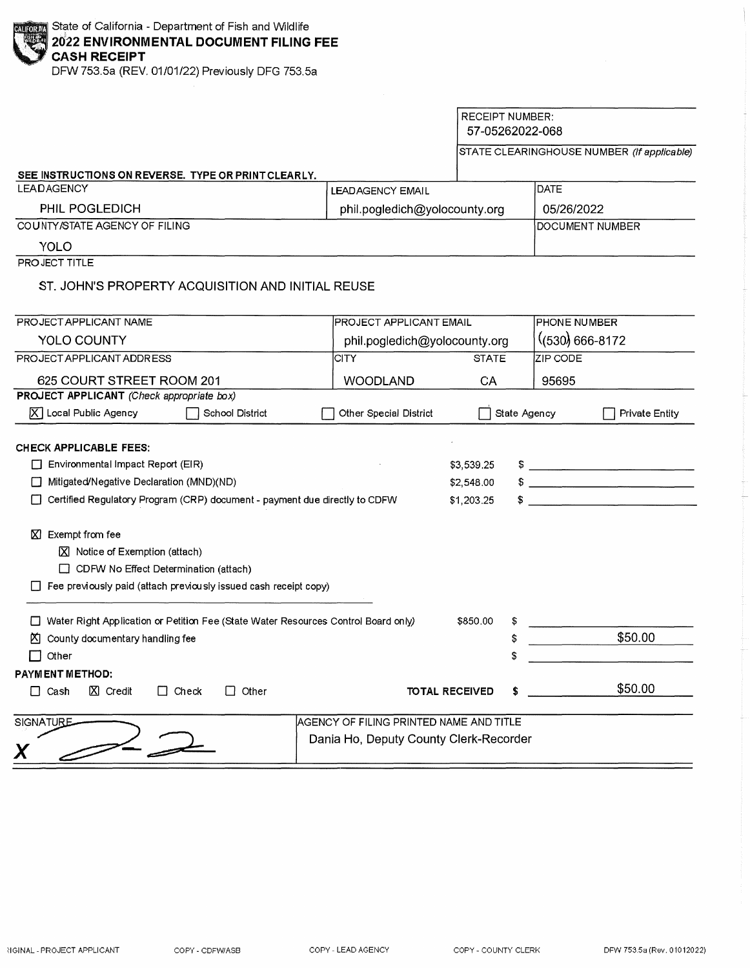DFW 753.Sa (REV. 01/01/22) Previously DFG 753.Sa

|                                                                                      |                                         | <b>RECEIPT NUMBER:</b><br>57-05262022-068 |                                                                                                                                                                                                                                                                                                                                                                                                                                                                                                 |                                                                                                                       |  |
|--------------------------------------------------------------------------------------|-----------------------------------------|-------------------------------------------|-------------------------------------------------------------------------------------------------------------------------------------------------------------------------------------------------------------------------------------------------------------------------------------------------------------------------------------------------------------------------------------------------------------------------------------------------------------------------------------------------|-----------------------------------------------------------------------------------------------------------------------|--|
|                                                                                      |                                         |                                           |                                                                                                                                                                                                                                                                                                                                                                                                                                                                                                 | STATE CLEARINGHOUSE NUMBER (If applicable)                                                                            |  |
| SEE INSTRUCTIONS ON REVERSE. TYPE OR PRINT CLEARLY.                                  |                                         |                                           |                                                                                                                                                                                                                                                                                                                                                                                                                                                                                                 |                                                                                                                       |  |
| <b>LEADAGENCY</b>                                                                    | <b>LEADAGENCY EMAIL</b>                 |                                           | <b>DATE</b>                                                                                                                                                                                                                                                                                                                                                                                                                                                                                     |                                                                                                                       |  |
| PHIL POGLEDICH                                                                       | phil.pogledich@yolocounty.org           |                                           | 05/26/2022                                                                                                                                                                                                                                                                                                                                                                                                                                                                                      |                                                                                                                       |  |
| COUNTY/STATE AGENCY OF FILING                                                        |                                         |                                           | DOCUMENT NUMBER                                                                                                                                                                                                                                                                                                                                                                                                                                                                                 |                                                                                                                       |  |
| YOLO                                                                                 |                                         |                                           |                                                                                                                                                                                                                                                                                                                                                                                                                                                                                                 |                                                                                                                       |  |
| PROJECT TITLE                                                                        |                                         |                                           |                                                                                                                                                                                                                                                                                                                                                                                                                                                                                                 |                                                                                                                       |  |
| ST. JOHN'S PROPERTY ACQUISITION AND INITIAL REUSE                                    |                                         |                                           |                                                                                                                                                                                                                                                                                                                                                                                                                                                                                                 |                                                                                                                       |  |
| PROJECT APPLICANT NAME                                                               | PROJECT APPLICANT EMAIL                 |                                           | <b>PHONE NUMBER</b>                                                                                                                                                                                                                                                                                                                                                                                                                                                                             |                                                                                                                       |  |
| <b>YOLO COUNTY</b>                                                                   | phil.pogledich@yolocounty.org           |                                           |                                                                                                                                                                                                                                                                                                                                                                                                                                                                                                 | $(530)$ 666-8172                                                                                                      |  |
| PROJECT APPLICANT ADDRESS                                                            | CITY                                    | <b>STATE</b>                              | ZIP CODE                                                                                                                                                                                                                                                                                                                                                                                                                                                                                        |                                                                                                                       |  |
| 625 COURT STREET ROOM 201                                                            | <b>WOODLAND</b>                         | CA                                        | 95695                                                                                                                                                                                                                                                                                                                                                                                                                                                                                           |                                                                                                                       |  |
| PROJECT APPLICANT (Check appropriate box)                                            |                                         |                                           |                                                                                                                                                                                                                                                                                                                                                                                                                                                                                                 |                                                                                                                       |  |
| $\overline{X}$ Local Public Agency<br>School District                                | Other Special District                  |                                           | State Agency                                                                                                                                                                                                                                                                                                                                                                                                                                                                                    | <b>Private Entity</b>                                                                                                 |  |
|                                                                                      |                                         |                                           |                                                                                                                                                                                                                                                                                                                                                                                                                                                                                                 |                                                                                                                       |  |
| <b>CHECK APPLICABLE FEES:</b>                                                        |                                         |                                           |                                                                                                                                                                                                                                                                                                                                                                                                                                                                                                 |                                                                                                                       |  |
| Environmental Impact Report (EIR)                                                    |                                         | \$3,539.25                                | $\begin{array}{c c c c c} \hline \multicolumn{3}{c }{\textbf{\small{5}}} & \multicolumn{3}{c }{\textbf{\small{5}}} & \multicolumn{3}{c }{\textbf{\small{5}}} & \multicolumn{3}{c }{\textbf{\small{5}}} & \multicolumn{3}{c }{\textbf{\small{5}}} & \multicolumn{3}{c }{\textbf{\small{5}}} & \multicolumn{3}{c }{\textbf{\small{5}}} & \multicolumn{3}{c }{\textbf{\small{5}}} & \multicolumn{3}{c }{\textbf{\small{5}}} & \multicolumn{3}{c }{\textbf{\small{5}}} & \multicolumn{3}{c }{\text$ |                                                                                                                       |  |
| Mitigated/Negative Declaration (MND)(ND)                                             |                                         | \$2,548.00                                |                                                                                                                                                                                                                                                                                                                                                                                                                                                                                                 | <u> 1989 - Johann Harry Harry Harry Harry Harry Harry Harry Harry Harry Harry Harry Harry Harry Harry Harry Harry</u> |  |
| Certified Regulatory Program (CRP) document - payment due directly to CDFW           |                                         | \$1,203.25                                |                                                                                                                                                                                                                                                                                                                                                                                                                                                                                                 |                                                                                                                       |  |
| $\boxtimes$ Exempt from fee                                                          |                                         |                                           |                                                                                                                                                                                                                                                                                                                                                                                                                                                                                                 |                                                                                                                       |  |
| $\boxtimes$ Notice of Exemption (attach)                                             |                                         |                                           |                                                                                                                                                                                                                                                                                                                                                                                                                                                                                                 |                                                                                                                       |  |
| $\Box$ CDFW No Effect Determination (attach)                                         |                                         |                                           |                                                                                                                                                                                                                                                                                                                                                                                                                                                                                                 |                                                                                                                       |  |
| Fee previously paid (attach previously issued cash receipt copy)                     |                                         |                                           |                                                                                                                                                                                                                                                                                                                                                                                                                                                                                                 |                                                                                                                       |  |
|                                                                                      |                                         |                                           |                                                                                                                                                                                                                                                                                                                                                                                                                                                                                                 |                                                                                                                       |  |
| □ Water Right Application or Petition Fee (State Water Resources Control Board only) |                                         | \$850.00<br>\$                            |                                                                                                                                                                                                                                                                                                                                                                                                                                                                                                 |                                                                                                                       |  |
| K County documentary handling fee                                                    |                                         | \$                                        |                                                                                                                                                                                                                                                                                                                                                                                                                                                                                                 | \$50.00                                                                                                               |  |
| Other                                                                                |                                         | \$                                        |                                                                                                                                                                                                                                                                                                                                                                                                                                                                                                 |                                                                                                                       |  |
| PAYMENT METHOD:                                                                      |                                         |                                           |                                                                                                                                                                                                                                                                                                                                                                                                                                                                                                 |                                                                                                                       |  |
| $\Box$ Cash<br>$X$ Credit<br>$\Box$ Check<br>Other<br>$\perp$                        | <b>TOTAL RECEIVED</b>                   |                                           |                                                                                                                                                                                                                                                                                                                                                                                                                                                                                                 | \$50.00                                                                                                               |  |
| <b>SIGNATURE</b>                                                                     | AGENCY OF FILING PRINTED NAME AND TITLE |                                           |                                                                                                                                                                                                                                                                                                                                                                                                                                                                                                 |                                                                                                                       |  |
| Dania Ho, Deputy County Clerk-Recorder                                               |                                         |                                           |                                                                                                                                                                                                                                                                                                                                                                                                                                                                                                 |                                                                                                                       |  |
| Χ                                                                                    |                                         |                                           |                                                                                                                                                                                                                                                                                                                                                                                                                                                                                                 |                                                                                                                       |  |
|                                                                                      |                                         |                                           |                                                                                                                                                                                                                                                                                                                                                                                                                                                                                                 |                                                                                                                       |  |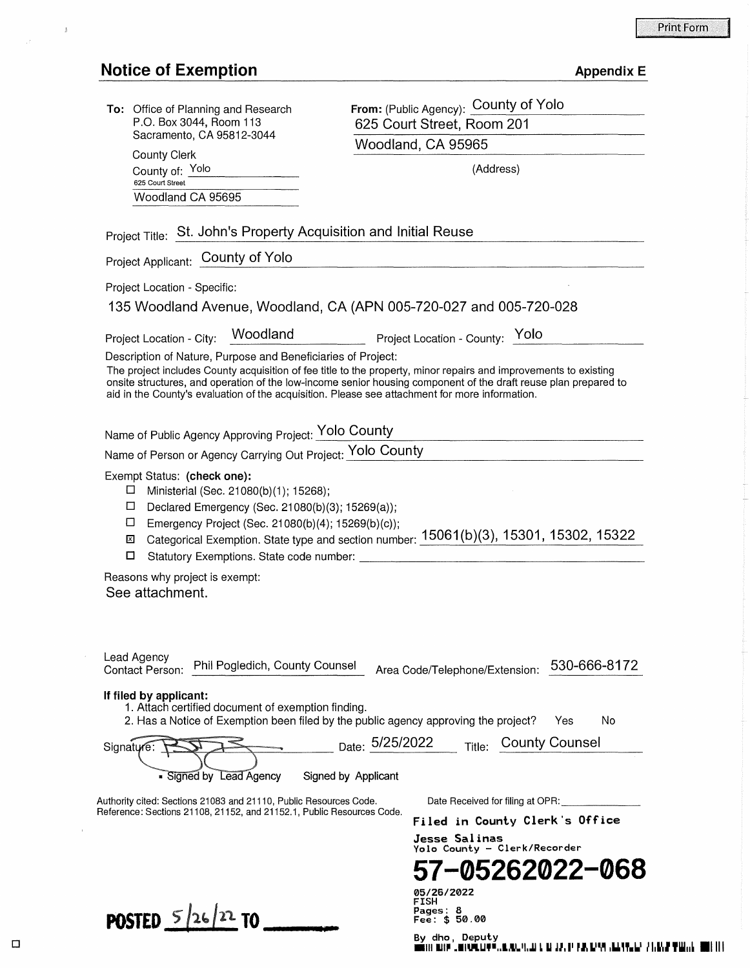# Notice of Exemption

 $\frac{1}{\beta}$ 

| <b>Appendix E</b> |  |  |  |  |
|-------------------|--|--|--|--|
|-------------------|--|--|--|--|

| <b>To:</b> Office of Planning and Research<br>P.O. Box 3044, Room 113                                                                                                                                            | From: (Public Agency): County of Yolo<br>625 Court Street, Room 201                                                                                                                                                                 |  |  |
|------------------------------------------------------------------------------------------------------------------------------------------------------------------------------------------------------------------|-------------------------------------------------------------------------------------------------------------------------------------------------------------------------------------------------------------------------------------|--|--|
| Sacramento, CA 95812-3044                                                                                                                                                                                        | Woodland, CA 95965                                                                                                                                                                                                                  |  |  |
| <b>County Clerk</b><br>County of: Yolo                                                                                                                                                                           | (Address)                                                                                                                                                                                                                           |  |  |
| 625 Court Street                                                                                                                                                                                                 |                                                                                                                                                                                                                                     |  |  |
| Woodland CA 95695                                                                                                                                                                                                |                                                                                                                                                                                                                                     |  |  |
| Project Title: St. John's Property Acquisition and Initial Reuse                                                                                                                                                 |                                                                                                                                                                                                                                     |  |  |
| Project Applicant: County of Yolo                                                                                                                                                                                |                                                                                                                                                                                                                                     |  |  |
| Project Location - Specific:                                                                                                                                                                                     |                                                                                                                                                                                                                                     |  |  |
|                                                                                                                                                                                                                  | 135 Woodland Avenue, Woodland, CA (APN 005-720-027 and 005-720-028                                                                                                                                                                  |  |  |
| Woodland<br>Project Location - City:                                                                                                                                                                             | Project Location - County: Yolo                                                                                                                                                                                                     |  |  |
| Description of Nature, Purpose and Beneficiaries of Project:<br>aid in the County's evaluation of the acquisition. Please see attachment for more information.                                                   | The project includes County acquisition of fee title to the property, minor repairs and improvements to existing<br>onsite structures, and operation of the low-income senior housing component of the draft reuse plan prepared to |  |  |
| Name of Public Agency Approving Project: Yolo County                                                                                                                                                             |                                                                                                                                                                                                                                     |  |  |
| Name of Person or Agency Carrying Out Project: Yolo County                                                                                                                                                       |                                                                                                                                                                                                                                     |  |  |
| Ministerial (Sec. 21080(b)(1); 15268);<br>□<br>Declared Emergency (Sec. 21080(b)(3); 15269(a));<br>Emergency Project (Sec. 21080(b)(4); 15269(b)(c));<br>□<br>⊠<br>О<br>Statutory Exemptions. State code number: | Categorical Exemption. State type and section number: 15061(b)(3), 15301, 15302, 15322                                                                                                                                              |  |  |
| Reasons why project is exempt:<br>See attachment.                                                                                                                                                                |                                                                                                                                                                                                                                     |  |  |
| Lead Agency<br>Phil Pogledich, County Counsel<br>Contact Person:                                                                                                                                                 | 530-666-8172<br>Area Code/Telephone/Extension:                                                                                                                                                                                      |  |  |
| If filed by applicant:<br>1. Attach certified document of exemption finding.                                                                                                                                     | 2. Has a Notice of Exemption been filed by the public agency approving the project?<br>Yes<br>No                                                                                                                                    |  |  |
| Signature<br>- Signed by Lead Agency                                                                                                                                                                             | <sub>Date:</sub> 5/25/2022<br><b>County Counsel</b><br>Title:<br>Signed by Applicant                                                                                                                                                |  |  |
|                                                                                                                                                                                                                  |                                                                                                                                                                                                                                     |  |  |
| Authority cited: Sections 21083 and 21110, Public Resources Code.<br>Reference: Sections 21108, 21152, and 21152.1, Public Resources Code.                                                                       | Date Received for filing at OPR:<br>Filed in County Clerk's Office                                                                                                                                                                  |  |  |
|                                                                                                                                                                                                                  | Jesse Salinas                                                                                                                                                                                                                       |  |  |
|                                                                                                                                                                                                                  | Yolo County - Clerk/Recorder                                                                                                                                                                                                        |  |  |
|                                                                                                                                                                                                                  | 57-05262022-068                                                                                                                                                                                                                     |  |  |
|                                                                                                                                                                                                                  | <b>05/26/2022</b><br>FISH                                                                                                                                                                                                           |  |  |
| POSTED $5/26/22$ TO                                                                                                                                                                                              | <b>Pages: 8</b><br>\$50.00<br>Fee:                                                                                                                                                                                                  |  |  |

 $\Box$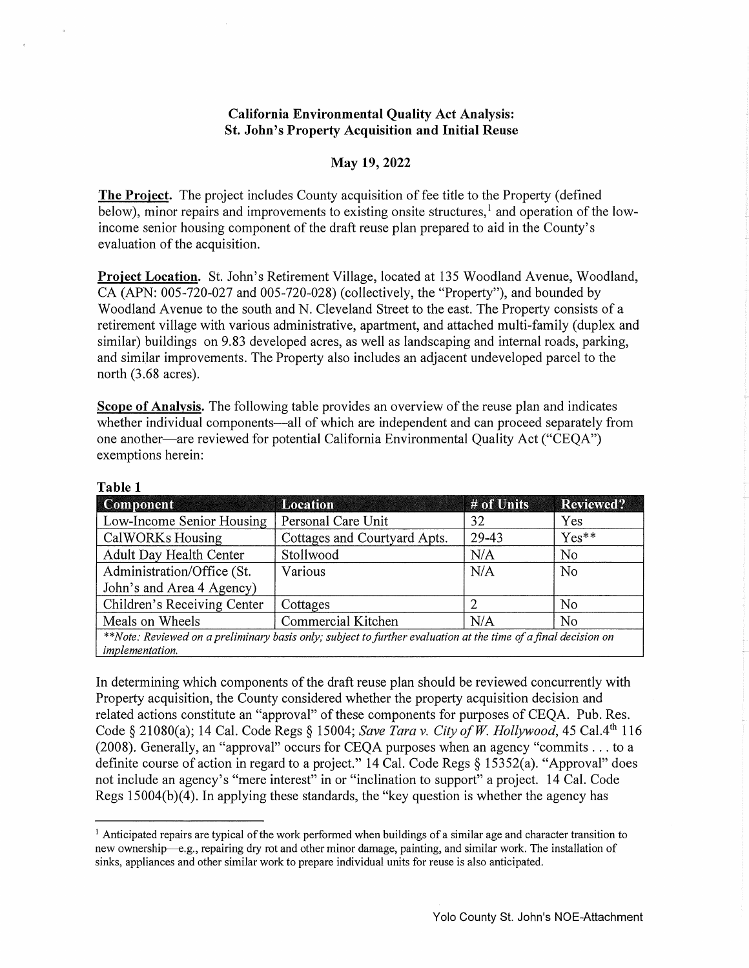#### **California Environmental Quality Act Analysis: St. John's Property Acquisition and Initial Reuse**

#### **May 19, 2022**

**The Project.** The project includes County acquisition of fee title to the Property (defined below), minor repairs and improvements to existing onsite structures,  $\frac{1}{1}$  and operation of the lowincome senior housing component of the draft reuse plan prepared to aid in the County's evaluation of the acquisition.

**Project Location.** St. John's Retirement Village, located at 135 Woodland Avenue, Woodland, CA (APN: 005-720-027 and 005-720-028) (collectively, the "Property"), and bounded by Woodland Avenue to the south and N. Cleveland Street to the east. The Property consists of a retirement village with various administrative, apartment, and attached multi-family (duplex and similar) buildings on 9.83 developed acres, as well as landscaping and internal roads, parking, and similar improvements. The Property also includes an adjacent undeveloped parcel to the north (3.68 acres).

**Scope of Analysis.** The following table provides an overview of the reuse plan and indicates whether individual components—all of which are independent and can proceed separately from one another—are reviewed for potential California Environmental Quality Act ("CEOA") exemptions herein:

| <b>Component</b>                                                                                               | <b>Location</b>              | # of Units | <b>Reviewed?</b> |  |
|----------------------------------------------------------------------------------------------------------------|------------------------------|------------|------------------|--|
| Low-Income Senior Housing                                                                                      | Personal Care Unit           | 32         | Yes              |  |
| CalWORKs Housing                                                                                               | Cottages and Courtyard Apts. | 29-43      | $Yes**$          |  |
| Adult Day Health Center                                                                                        | Stollwood                    | N/A        | N <sub>0</sub>   |  |
| Administration/Office (St.                                                                                     | Various                      | N/A        | N <sub>0</sub>   |  |
| John's and Area 4 Agency)                                                                                      |                              |            |                  |  |
| Children's Receiving Center                                                                                    | Cottages                     |            | No               |  |
| Meals on Wheels                                                                                                | Commercial Kitchen           | N/A        | No               |  |
| **Note: Reviewed on a preliminary basis only; subject to further evaluation at the time of a final decision on |                              |            |                  |  |
| implementation.                                                                                                |                              |            |                  |  |

**Table 1** 

In determining which components of the draft reuse plan should be reviewed concurrently with Property acquisition, the County considered whether the property acquisition decision and related actions constitute an "approval" of these components for purposes of CEQA. Pub. Res. Code§ 21080(a); 14 Cal. Code Regs§ 15004; *Save Tara v. City of W Hollywood,* 45 Cal.4th 116 (2008). Generally, an "approval" occurs for CEQA purposes when an agency "commits ... to a definite course of action in regard to a project." 14 Cal. Code Regs *§* 15352(a). "Approval" does not include an agency's "mere interest" in or "inclination to support" a project. 14 Cal. Code Regs 15004(b)(4). In applying these standards, the "key question is whether the agency has

<sup>&</sup>lt;sup>1</sup> Anticipated repairs are typical of the work performed when buildings of a similar age and character transition to new ownership--e.g., repairing dry rot and other minor damage, painting, and similar work. The installation of sinks, appliances and other similar work to prepare individual units for reuse is also anticipated.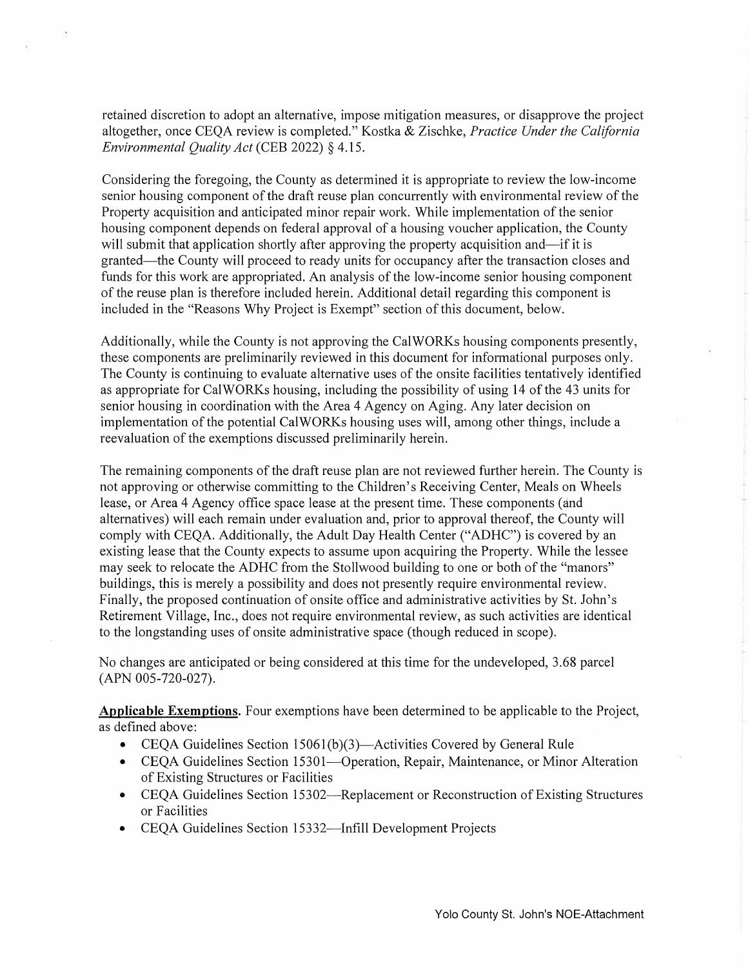retained discretion to adopt an alternative, impose mitigation measures, or disapprove the project altogether, once CEQA review is completed." Kostka & Zischke, *Practice Under the California Environmental Quality Act* (CEB 2022) § 4.15.

Considering the foregoing, the County as determined it is appropriate to review the low-income senior housing component of the draft reuse plan concurrently with environmental review of the Property acquisition and anticipated minor repair work. While implementation of the senior housing component depends on federal approval of a housing voucher application, the County will submit that application shortly after approving the property acquisition and—if it is granted—the County will proceed to ready units for occupancy after the transaction closes and funds for this work are appropriated. An analysis of the low-income senior housing component of the reuse plan is therefore included herein. Additional detail regarding this component is included in the "Reasons Why Project is Exempt" section of this document, below.

Additionally, while the County is not approving the CalWORKs housing components presently, these components are preliminarily reviewed in this document for informational purposes only. The County is continuing to evaluate alternative uses of the onsite facilities tentatively identified as appropriate for CalWORKs housing, including the possibility of using 14 of the 43 units for senior housing in coordination with the Area 4 Agency on Aging. Any later decision on implementation of the potential CalWORKs housing uses will, among other things, include a reevaluation of the exemptions discussed preliminarily herein.

The remaining components of the draft reuse plan are not reviewed further herein. The County is not approving or otherwise committing to the Children's Receiving Center, Meals on Wheels lease, or Area 4 Agency office space lease at the present time. These components (and alternatives) will each remain under evaluation and, prior to approval thereof, the County will comply with CEQA. Additionally, the Adult Day Health Center ("ADHC") is covered by an existing lease that the County expects to assume upon acquiring the Property. While the lessee may seek to relocate the ADHC from the Stollwood building to one or both of the "manors" buildings, this is merely a possibility and does not presently require environmental review. Finally, the proposed continuation of onsite office and administrative activities by St. John's Retirement Village, Inc., does not require environmental review, as such activities are identical to the longstanding uses of onsite administrative space (though reduced in scope).

No changes are anticipated or being considered at this time for the undeveloped, 3.68 parcel (APN 005-720-027).

**Applicable Exemptions.** Four exemptions have been determined to be applicable to the Project, as defined above:

- CEQA Guidelines Section 1506l(b)(3)-Activities Covered by General Rule
- CEQA Guidelines Section 15301-Operation, Repair, Maintenance, or Minor Alteration of Existing Structures or Facilities
- CEQA Guidelines Section 15302—Replacement or Reconstruction of Existing Structures or Facilities
- CEQA Guidelines Section 15332-Infill Development Projects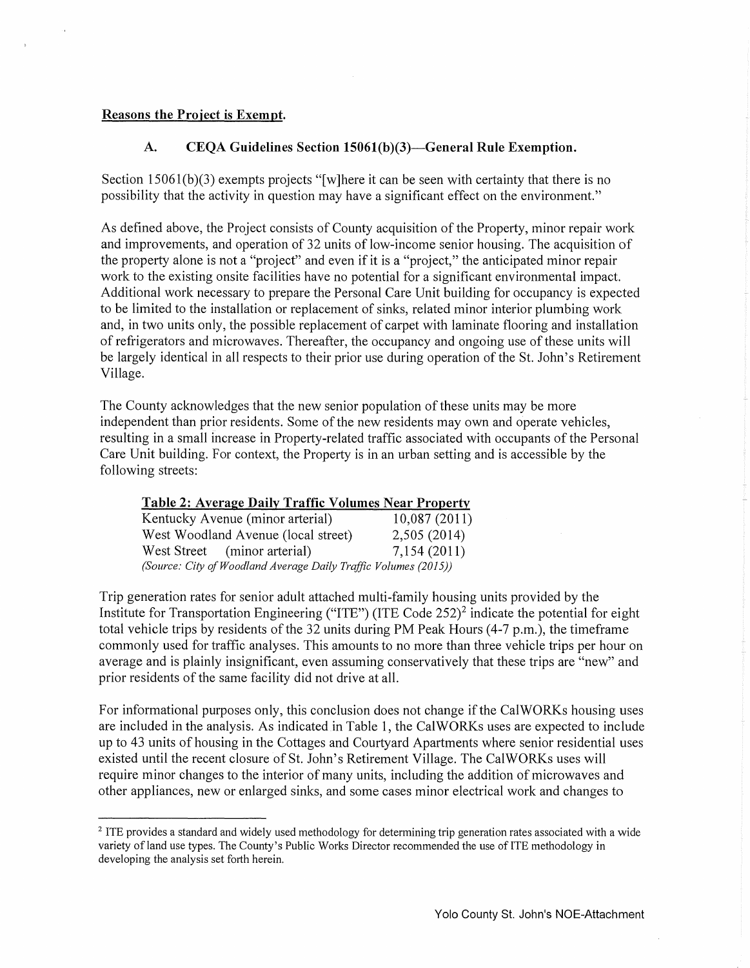#### Reasons the Project is Exempt.

# A. CEQA Guidelines Section 15061(b)(3)—General Rule Exemption.

Section 15061(b)(3) exempts projects "[w]here it can be seen with certainty that there is no possibility that the activity in question may have a significant effect on the environment."

As defined above, the Project consists of County acquisition of the Property, minor repair work and improvements, and operation of 32 units of low-income senior housing. The acquisition of the property alone is not a "project" and even if it is a "project," the anticipated minor repair work to the existing onsite facilities have no potential for a significant environmental impact. Additional work necessary to prepare the Personal Care Unit building for occupancy is expected to be limited to the installation or replacement of sinks, related minor interior plumbing work and, in two units only, the possible replacement of carpet with laminate flooring and installation of refrigerators and microwaves. Thereafter, the occupancy and ongoing use of these units will be largely identical in all respects to their prior use during operation of the St. John's Retirement Village.

The County acknowledges that the new senior population of these units may be more independent than prior residents. Some of the new residents may own and operate vehicles, resulting in a small increase in Property-related traffic associated with occupants of the Personal Care Unit building. For context, the Property is in an urban setting and is accessible by the following streets:

## Table 2: Average Daily Traffic Volumes Near Property

| Kentucky Avenue (minor arterial)                                | 10,087(2011) |  |  |  |
|-----------------------------------------------------------------|--------------|--|--|--|
| West Woodland Avenue (local street)                             | 2,505 (2014) |  |  |  |
| West Street (minor arterial)                                    | 7,154(2011)  |  |  |  |
| (Source: City of Woodland Average Daily Traffic Volumes (2015)) |              |  |  |  |

Trip generation rates for senior adult attached multi-family housing units provided by the Institute for Transportation Engineering ("ITE") (ITE Code 252)2 indicate the potential for eight total vehicle trips by residents of the 32 units during PM Peak Hours (4-7 p.m.), the timeframe commonly used for traffic analyses. This amounts to no more than three vehicle trips per hour on average and is plainly insignificant, even assuming conservatively that these trips are "new" and prior residents of the same facility did not drive at all.

For informational purposes only, this conclusion does not change if the CalWORKs housing uses are included in the analysis. As indicated in Table 1, the CalWORKs uses are expected to include up to 43 units of housing in the Cottages and Courtyard Apartments where senior residential uses existed until the recent closure of St. John's Retirement Village. The CalWORKs uses will require minor changes to the interior of many units, including the addition of microwaves and other appliances, new or enlarged sinks, and some cases minor electrical work and changes to

<sup>&</sup>lt;sup>2</sup> ITE provides a standard and widely used methodology for determining trip generation rates associated with a wide variety of land use types. The County's Public Works Director recommended the use of ITE methodology in developing the analysis set forth herein.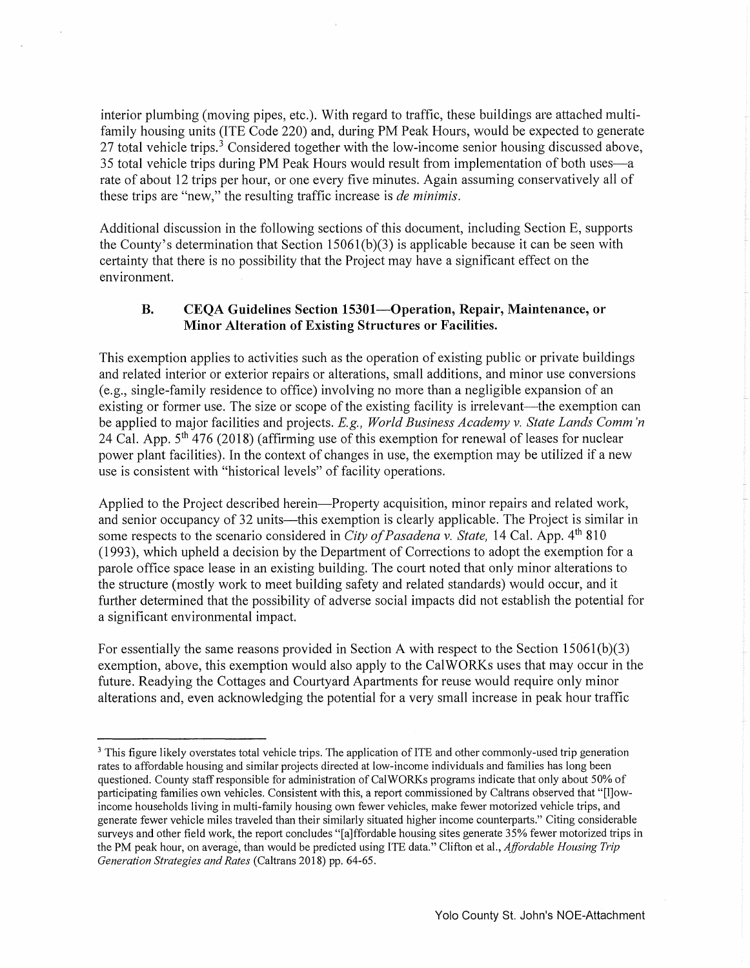interior plumbing (moving pipes, etc.). With regard to traffic, these buildings are attached multifamily housing units (ITE Code 220) and, during PM Peak Hours, would be expected to generate 27 total vehicle trips.<sup>3</sup> Considered together with the low-income senior housing discussed above, 35 total vehicle trips during PM Peak Hours would result from implementation of both uses-a rate of about 12 trips per hour, or one every five minutes. Again assuming conservatively all of these trips are "new," the resulting traffic increase is *de minimis*.

Additional discussion in the following sections of this document, including Section E, supports the County's determination that Section  $15061(b)(3)$  is applicable because it can be seen with certainty that there is no possibility that the Project may have a significant effect on the environment.

### **B. CEQA Guidelines Section 15301-0peration, Repair, Maintenance, or Minor Alteration of Existing Structures or Facilities.**

This exemption applies to activities such as the operation of existing public or private buildings and related interior or exterior repairs or alterations, small additions, and minor use conversions (e.g., single-family residence to office) involving no more than a negligible expansion of an existing or former use. The size or scope of the existing facility is irrelevant—the exemption can be applied to major facilities and projects. *E.g., World Business Academy v. State Lands Comm 'n*  24 Cal. App.  $5<sup>th</sup>$  476 (2018) (affirming use of this exemption for renewal of leases for nuclear power plant facilities). In the context of changes in use, the exemption may be utilized if a new use is consistent with "historical levels" of facility operations.

Applied to the Project described herein—Property acquisition, minor repairs and related work, and senior occupancy of 32 units—this exemption is clearly applicable. The Project is similar in some respects to the scenario considered in *City of Pasadena v. State*, 14 Cal. App. 4<sup>th</sup> 810 (1993), which upheld a decision by the Department of Corrections to adopt the exemption for a parole office space lease in an existing building. The court noted that only minor alterations to the structure (mostly work to meet building safety and related standards) would occur, and it further determined that the possibility of adverse social impacts did not establish the potential for a significant environmental impact.

For essentially the same reasons provided in Section A with respect to the Section 1506l(b)(3) exemption, above, this exemption would also apply to the CalWORKs uses that may occur in the future. Readying the Cottages and Courtyard Apartments for reuse would require only minor alterations and, even acknowledging the potential for a very small increase in peak hour traffic

<sup>&</sup>lt;sup>3</sup> This figure likely overstates total vehicle trips. The application of ITE and other commonly-used trip generation rates to affordable housing and similar projects directed at low-income individuals and families has long been questioned. County staff responsible for administration of CalWORKs programs indicate that only about 50% of participating families own vehicles. Consistent with this, a report commissioned by Caltrans observed that "[l]owincome households living in multi-family housing own fewer vehicles, make fewer motorized vehicle trips, and generate fewer vehicle miles traveled than their similarly situated higher income counterparts." Citing considerable surveys and other field work, the report concludes "[a]ffordable housing sites generate 35% fewer motorized trips in the PM peak hour, on average, than would be predicted using ITE data." Clifton et al., *Affordable Housing Trip Generation Strategies and Rates* (Caltrans 2018) pp. 64-65.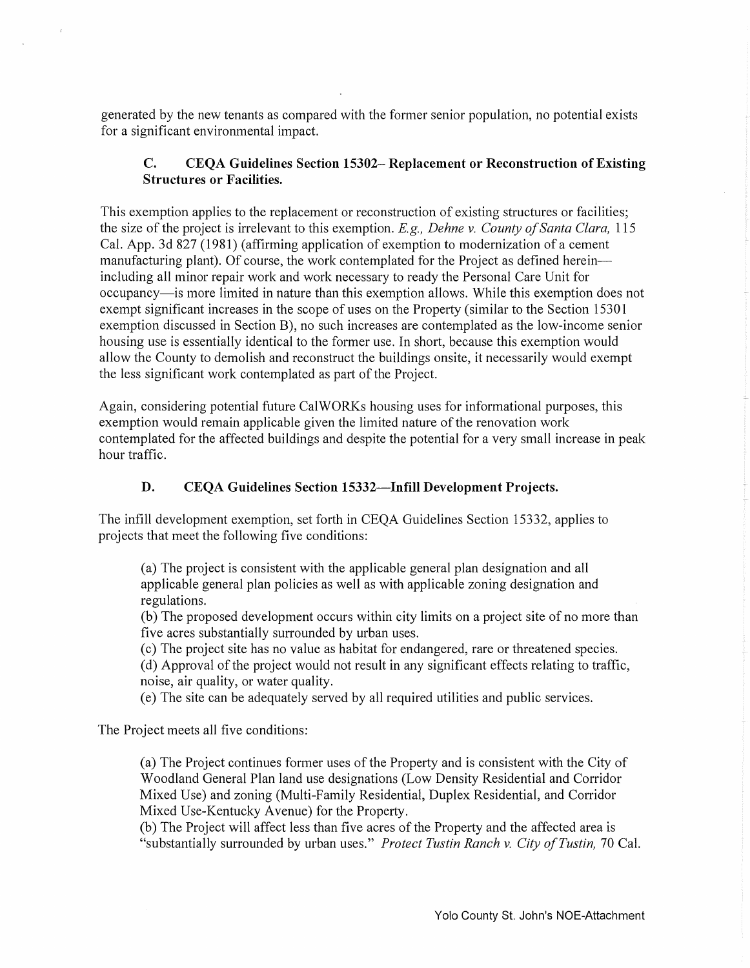generated by the new tenants as compared with the former senior population, no potential exists for a significant environmental impact.

# C. CEQA Guidelines Section 15302- Replacement or Reconstruction of Existing Structures or Facilities.

This exemption applies to the replacement or reconstruction of existing structures or facilities; the size of the project is irrelevant to this exemption. E.g., *Dehne v. County of Santa Clara,* 115 Cal. App. 3d 827 (1981) (affirming application of exemption to modernization of a cement manufacturing plant). Of course, the work contemplated for the Project as defined hereinincluding all minor repair work and work necessary to ready the Personal Care Unit for occupancy-is more limited in nature than this exemption allows. While this exemption does not exempt significant increases in the scope of uses on the Property (similar to the Section 15301 exemption discussed in Section B), no such increases are contemplated as the low-income senior housing use is essentially identical to the former use. In short, because this exemption would allow the County to demolish and reconstruct the buildings onsite, it necessarily would exempt the less significant work contemplated as part of the Project.

Again, considering potential future CalWORKs housing uses for informational purposes, this exemption would remain applicable given the limited nature of the renovation work contemplated for the affected buildings and despite the potential for a very small increase in peak hour traffic.

## D. CEQA Guidelines Section 15332—Infill Development Projects.

The infill development exemption, set forth in CEQA Guidelines Section 15332, applies to projects that meet the following five conditions:

(a) The project is consistent with the applicable general plan designation and all applicable general plan policies as well as with applicable zoning designation and regulations.

(b) The proposed development occurs within city limits on a project site of no more than five acres substantially surrounded by urban uses.

( c) The project site has no value as habitat for endangered, rare or threatened species.

(d) Approval of the project would not result in any significant effects relating to traffic, noise, air quality, or water quality.

( e) The site can be adequately served by all required utilities and public services.

The Project meets all five conditions:

(a) The Project continues former uses of the Property and is consistent with the City of Woodland General Plan land use designations (Low Density Residential and Corridor Mixed Use) and zoning (Multi-Family Residential, Duplex Residential, and Corridor Mixed Use-Kentucky Avenue) for the Property.

(b) The Project will affect less than five acres of the Property and the affected area is "substantially surrounded by urban uses." *Protect Tustin Ranch v. City of Tustin,* 70 Cal.